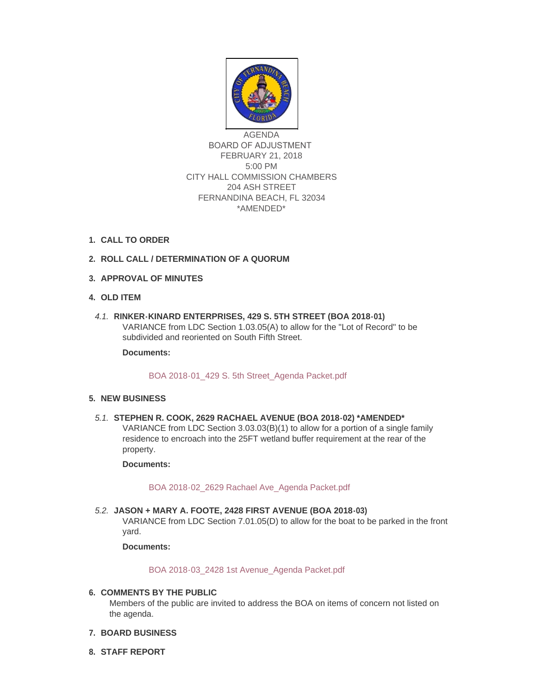

AGENDA BOARD OF ADJUSTMENT FEBRUARY 21, 2018 5:00 PM CITY HALL COMMISSION CHAMBERS 204 ASH STREET FERNANDINA BEACH, FL 32034 \*AMENDED\*

## **CALL TO ORDER 1.**

# **ROLL CALL / DETERMINATION OF A QUORUM 2.**

- **APPROVAL OF MINUTES 3.**
- **OLD ITEM 4.**
- **RINKER-KINARD ENTERPRISES, 429 S. 5TH STREET (BOA 2018-01)** *4.1.* VARIANCE from LDC Section 1.03.05(A) to allow for the "Lot of Record" to be subdivided and reoriented on South Fifth Street.

**Documents:**

## [BOA 2018-01\\_429 S. 5th Street\\_Agenda Packet.pdf](http://fl-fernandinabeach3.civicplus.com/AgendaCenter/ViewFile/Item/8692?fileID=5558)

## **NEW BUSINESS 5.**

**STEPHEN R. COOK, 2629 RACHAEL AVENUE (BOA 2018-02) \*AMENDED\*** *5.1.* VARIANCE from LDC Section 3.03.03(B)(1) to allow for a portion of a single family residence to encroach into the 25FT wetland buffer requirement at the rear of the property.

#### **Documents:**

## [BOA 2018-02\\_2629 Rachael Ave\\_Agenda Packet.pdf](http://fl-fernandinabeach3.civicplus.com/AgendaCenter/ViewFile/Item/8693?fileID=5559)

**JASON + MARY A. FOOTE, 2428 FIRST AVENUE (BOA 2018-03)** *5.2.* VARIANCE from LDC Section 7.01.05(D) to allow for the boat to be parked in the front yard.

**Documents:**

## [BOA 2018-03\\_2428 1st Avenue\\_Agenda Packet.pdf](http://fl-fernandinabeach3.civicplus.com/AgendaCenter/ViewFile/Item/8694?fileID=5560)

## **COMMENTS BY THE PUBLIC 6.**

Members of the public are invited to address the BOA on items of concern not listed on the agenda.

- **BOARD BUSINESS 7.**
- **STAFF REPORT 8.**